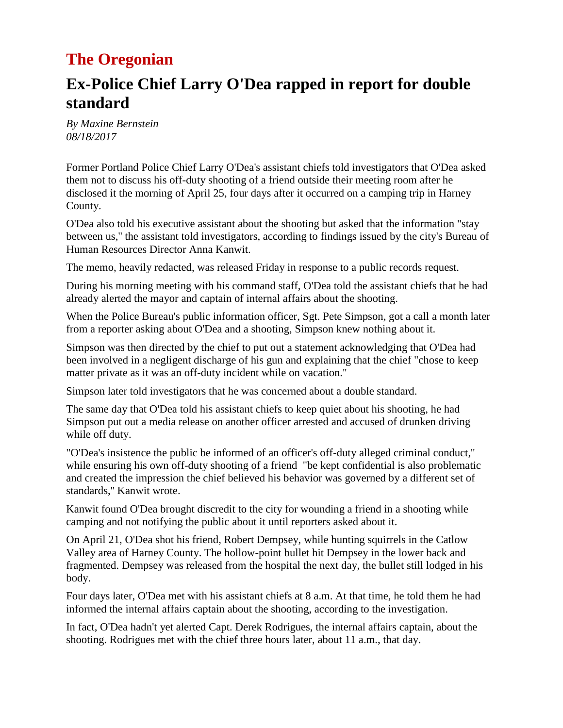### **The Oregonian**

## **Ex-Police Chief Larry O'Dea rapped in report for double standard**

*By Maxine Bernstein 08/18/2017*

Former Portland Police Chief Larry O'Dea's assistant chiefs told investigators that O'Dea asked them not to discuss his off-duty shooting of a friend outside their meeting room after he disclosed it the morning of April 25, four days after it occurred on a camping trip in Harney County.

O'Dea also told his executive assistant about the shooting but asked that the information "stay between us,'' the assistant told investigators, according to findings issued by the city's Bureau of Human Resources Director Anna Kanwit.

[The memo,](http://media.oregonlive.com/portland_impact/other/BHRFINDINGSODEAJUNE2017.pdf) heavily redacted, was released Friday in response to a public records request.

During his morning meeting with his command staff, O'Dea told the assistant chiefs that he had already alerted the mayor and captain of internal affairs about the shooting.

When the Police Bureau's public information officer, Sgt. Pete Simpson, got a call a month later from a reporter asking about O'Dea and a shooting, Simpson knew nothing about it.

Simpson was then directed by the chief to put out a statement acknowledging that O'Dea had been involved in a negligent discharge of his gun and explaining that the chief "chose to keep matter private as it was an off-duty incident while on vacation.''

Simpson later told investigators that he was concerned about a double standard.

The same day that O'Dea told his assistant chiefs to keep quiet about his shooting, he had Simpson put out a media release on another officer arrested and accused of drunken driving while off duty.

"O'Dea's insistence the public be informed of an officer's off-duty alleged criminal conduct,'' while ensuring his own off-duty shooting of a friend "be kept confidential is also problematic and created the impression the chief believed his behavior was governed by a different set of standards,'' Kanwit wrote.

Kanwit found O'Dea brought discredit to the city for wounding a friend in a shooting while camping and not notifying the public about it until reporters asked about it.

On April 21, O'Dea shot his friend, Robert Dempsey, while hunting squirrels in the Catlow Valley area of Harney County. The hollow-point bullet hit Dempsey in the lower back and fragmented. Dempsey was released from the hospital the next day, the bullet still lodged in his body.

Four days later, O'Dea met with his assistant chiefs at 8 a.m. At that time, he told them he had informed the internal affairs captain about the shooting, according to the investigation.

In fact, O'Dea hadn't yet alerted Capt. Derek Rodrigues, the internal affairs captain, about the shooting. Rodrigues met with the chief three hours later, about 11 a.m., that day.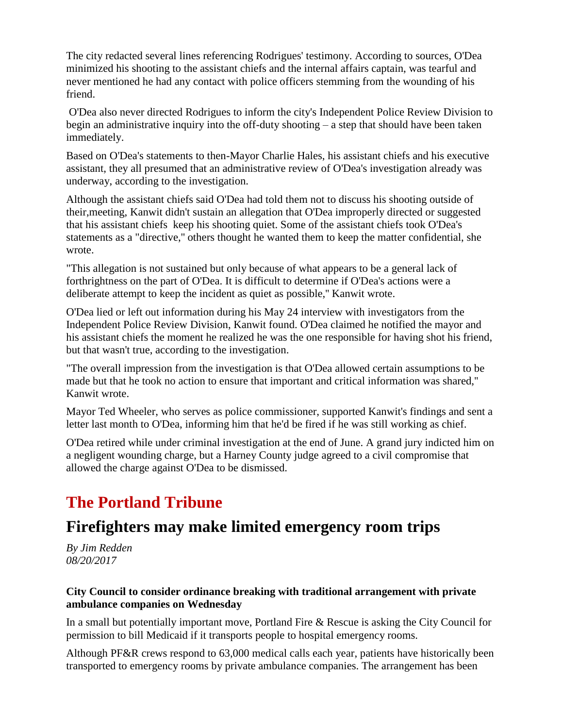The city redacted several lines referencing Rodrigues' testimony. According to sources, O'Dea minimized his shooting to the assistant chiefs and the internal affairs captain, was tearful and never mentioned he had any contact with police officers stemming from the wounding of his friend.

O'Dea also never directed Rodrigues to inform the city's Independent Police Review Division to begin an administrative inquiry into the off-duty shooting – a step that should have been taken immediately.

Based on O'Dea's statements to then-Mayor Charlie Hales, his assistant chiefs and his executive assistant, they all presumed that an administrative review of O'Dea's investigation already was underway, according to the investigation.

Although the assistant chiefs said O'Dea had told them not to discuss his shooting outside of their,meeting, Kanwit didn't sustain an allegation that O'Dea improperly directed or suggested that his assistant chiefs keep his shooting quiet. Some of the assistant chiefs took O'Dea's statements as a "directive,'' others thought he wanted them to keep the matter confidential, she wrote.

"This allegation is not sustained but only because of what appears to be a general lack of forthrightness on the part of O'Dea. It is difficult to determine if O'Dea's actions were a deliberate attempt to keep the incident as quiet as possible,'' Kanwit wrote.

O'Dea lied or left out information during his May 24 interview with investigators from the Independent Police Review Division, Kanwit found. O'Dea claimed he notified the mayor and his assistant chiefs the moment he realized he was the one responsible for having shot his friend, but that wasn't true, according to the investigation.

"The overall impression from the investigation is that O'Dea allowed certain assumptions to be made but that he took no action to ensure that important and critical information was shared,'' Kanwit wrote.

Mayor Ted Wheeler, who serves as police commissioner, supported Kanwit's findings and sent a letter last month to O'Dea, informing him that he'd be fired if he was still working as chief.

O'Dea retired while under criminal investigation at the end of June. A grand jury indicted him on a negligent wounding charge, but a Harney County judge agreed to a civil compromise that allowed the charge against O'Dea to be dismissed.

# **The Portland Tribune**

### **Firefighters may make limited emergency room trips**

*By Jim Redden 08/20/2017*

#### **City Council to consider ordinance breaking with traditional arrangement with private ambulance companies on Wednesday**

In a small but potentially important move, Portland Fire & Rescue is asking the City Council for permission to bill Medicaid if it transports people to hospital emergency rooms.

Although PF&R crews respond to 63,000 medical calls each year, patients have historically been transported to emergency rooms by private ambulance companies. The arrangement has been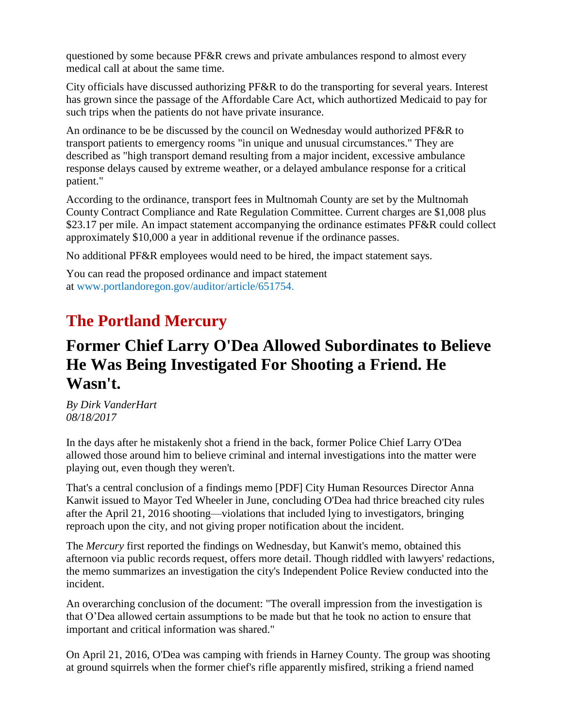questioned by some because PF&R crews and private ambulances respond to almost every medical call at about the same time.

City officials have discussed authorizing PF&R to do the transporting for several years. Interest has grown since the passage of the Affordable Care Act, which authortized Medicaid to pay for such trips when the patients do not have private insurance.

An ordinance to be be discussed by the council on Wednesday would authorized PF&R to transport patients to emergency rooms "in unique and unusual circumstances." They are described as "high transport demand resulting from a major incident, excessive ambulance response delays caused by extreme weather, or a delayed ambulance response for a critical patient."

According to the ordinance, transport fees in Multnomah County are set by the Multnomah County Contract Compliance and Rate Regulation Committee. Current charges are \$1,008 plus \$23.17 per mile. An impact statement accompanying the ordinance estimates PF&R could collect approximately \$10,000 a year in additional revenue if the ordinance passes.

No additional PF&R employees would need to be hired, the impact statement says.

You can read the proposed ordinance and impact statement at [www.portlandoregon.gov/auditor/article/651754.](http://www.portlandoregon.gov/auditor/article/651754.)

## **The Portland Mercury**

### **Former Chief Larry O'Dea Allowed Subordinates to Believe He Was Being Investigated For Shooting a Friend. He Wasn't.**

*By Dirk VanderHart 08/18/2017*

In the days after he mistakenly shot a friend in the back, former Police Chief Larry O'Dea allowed those around him to believe criminal and internal investigations into the matter were playing out, even though they weren't.

That's a central conclusion of a findings memo [\[PDF\]](http://www.portlandmercury.com/images/blogimages/2017/08/18/1503090143-o_dea_finding_clean.pdf) City Human Resources Director Anna Kanwit issued to Mayor Ted Wheeler in June, concluding O'Dea had thrice breached city rules after the April 21, 2016 shooting—violations that included lying to investigators, bringing reproach upon the city, and not giving proper notification about the incident.

The *Mercury* [first reported](http://www.portlandmercury.com/blogtown/2017/08/16/19242264/former-police-chief-larry-odea-lied-to-city-investigators-multiple-times-officials-conclude) the findings on Wednesday, but Kanwit's memo, obtained this afternoon via public records request, offers more detail. Though riddled with lawyers' redactions, the memo summarizes an investigation the city's Independent Police Review conducted into the incident.

An overarching conclusion of the document: "The overall impression from the investigation is that O'Dea allowed certain assumptions to be made but that he took no action to ensure that important and critical information was shared."

On April 21, 2016, O'Dea was camping with friends in Harney County. The group was shooting at ground squirrels when the former chief's rifle apparently misfired, striking a friend named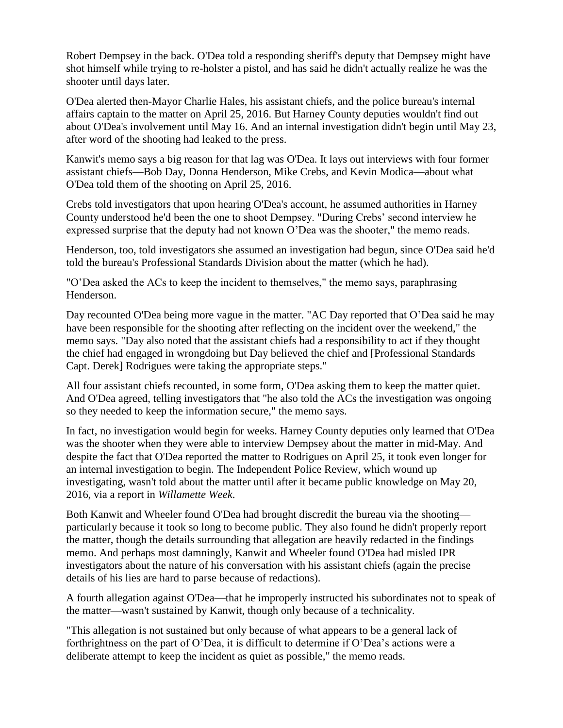Robert Dempsey in the back. O'Dea told a responding sheriff's deputy that Dempsey might have shot himself while trying to re-holster a pistol, and has said he didn't actually realize he was the shooter until days later.

O'Dea alerted then-Mayor Charlie Hales, his assistant chiefs, and the police bureau's internal affairs captain to the matter on April 25, 2016. But Harney County deputies wouldn't find out about O'Dea's involvement [until May 16.](http://www.oregonlive.com/portland/index.ssf/2016/05/portland_police_chief_at_first.html) And an internal investigation [didn't begin until May 23,](http://www.portlandmercury.com/news/2016/06/01/18155701/did-larry-odeas-shooting-mistake-get-special-treatment) after word of the shooting had leaked to the press.

Kanwit's memo says a big reason for that lag was O'Dea. It lays out interviews with four former assistant chiefs—Bob Day, Donna Henderson, Mike Crebs, and Kevin Modica—about what O'Dea told them of the shooting on April 25, 2016.

Crebs told investigators that upon hearing O'Dea's account, he assumed authorities in Harney County understood he'd been the one to shoot Dempsey. "During Crebs' second interview he expressed surprise that the deputy had not known O'Dea was the shooter," the memo reads.

Henderson, too, told investigators she assumed an investigation had begun, since O'Dea said he'd told the bureau's Professional Standards Division about the matter (which he had).

"O'Dea asked the ACs to keep the incident to themselves," the memo says, paraphrasing Henderson.

Day recounted O'Dea being more vague in the matter. "AC Day reported that O'Dea said he may have been responsible for the shooting after reflecting on the incident over the weekend," the memo says. "Day also noted that the assistant chiefs had a responsibility to act if they thought the chief had engaged in wrongdoing but Day believed the chief and [Professional Standards Capt. Derek] Rodrigues were taking the appropriate steps."

All four assistant chiefs recounted, in some form, O'Dea asking them to keep the matter quiet. And O'Dea agreed, telling investigators that "he also told the ACs the investigation was ongoing so they needed to keep the information secure," the memo says.

In fact, no investigation would begin for weeks. Harney County deputies only learned that O'Dea was the shooter when they were able to interview Dempsey about the matter in mid-May. And despite the fact that O'Dea reported the matter to Rodrigues on April 25, it took even longer for an internal investigation to begin. The Independent Police Review, which wound up investigating, wasn't told about the matter until after it became public knowledge on May 20, 2016, via a report in *Willamette Week*.

Both Kanwit and Wheeler found O'Dea had brought discredit the bureau via the shooting particularly because it took so long to become public. They also found he didn't properly report the matter, though the details surrounding that allegation are heavily redacted in the findings memo. And perhaps most damningly, Kanwit and Wheeler found O'Dea had misled IPR investigators about the nature of his conversation with his assistant chiefs (again the precise details of his lies are hard to parse because of redactions).

A fourth allegation against O'Dea—that he improperly instructed his subordinates not to speak of the matter—wasn't sustained by Kanwit, though only because of a technicality.

"This allegation is not sustained but only because of what appears to be a general lack of forthrightness on the part of O'Dea, it is difficult to determine if O'Dea's actions were a deliberate attempt to keep the incident as quiet as possible," the memo reads.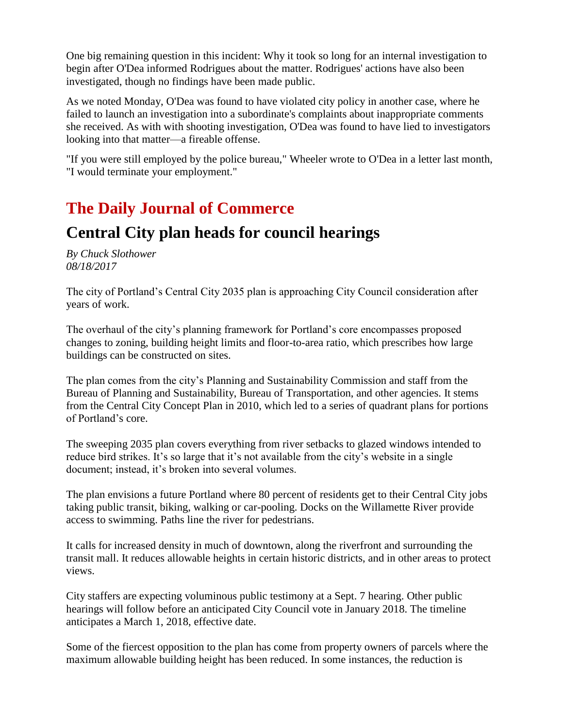One big remaining question in this incident: Why it took so long for an internal investigation to begin after O'Dea informed Rodrigues about the matter. Rodrigues' actions have also been investigated, though no findings have been made public.

As we noted Monday, O'Dea was found to have violated city policy in another case, where he failed to launch an investigation into a subordinate's complaints about inappropriate comments she received. As with with shooting investigation, O'Dea was found to have lied to investigators looking into that matter—a fireable offense.

"If you were still employed by the police bureau," Wheeler wrote to O'Dea in a letter last month, "I would terminate your employment."

## **The Daily Journal of Commerce**

### **Central City plan heads for council hearings**

*By Chuck Slothower 08/18/2017*

The city of Portland's Central City 2035 plan is approaching City Council consideration after years of work.

The overhaul of the city's planning framework for Portland's core encompasses proposed changes to zoning, building height limits and floor-to-area ratio, which prescribes how large buildings can be constructed on sites.

The plan comes from the city's Planning and Sustainability Commission and staff from the Bureau of Planning and Sustainability, Bureau of Transportation, and other agencies. It stems from the Central City Concept Plan in 2010, which led to a series of quadrant plans for portions of Portland's core.

The sweeping 2035 plan covers everything from river setbacks to glazed windows intended to reduce bird strikes. It's so large that it's not available from the city's website in a single document; instead, it's broken into several volumes.

The plan envisions a future Portland where 80 percent of residents get to their Central City jobs taking public transit, biking, walking or car-pooling. Docks on the Willamette River provide access to swimming. Paths line the river for pedestrians.

It calls for increased density in much of downtown, along the riverfront and surrounding the transit mall. It reduces allowable heights in certain historic districts, and in other areas to protect views.

City staffers are expecting voluminous public testimony at a Sept. 7 hearing. Other public hearings will follow before an anticipated City Council vote in January 2018. The timeline anticipates a March 1, 2018, effective date.

Some of the fiercest opposition to the plan has come from property owners of parcels where the maximum allowable building height has been reduced. In some instances, the reduction is